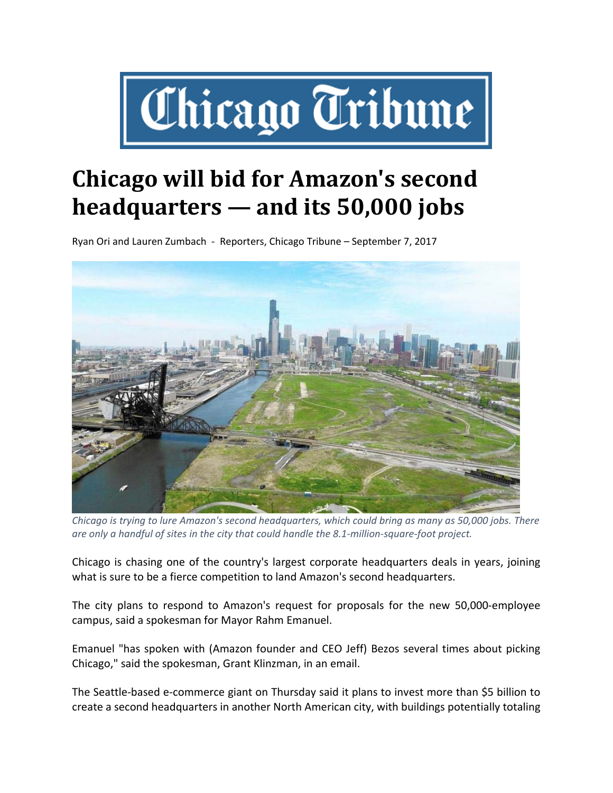

## **Chicago will bid for Amazon's second headquarters — and its 50,000 jobs**

Ryan Ori and Lauren Zumbach ‐ Reporters, Chicago Tribune – September 7, 2017



*Chicago is trying to lure Amazon's second headquarters, which could bring as many as 50,000 jobs. There* are only a handful of sites in the city that could handle the 8.1-million-square-foot project.

Chicago is chasing one of the country's largest corporate headquarters deals in years, joining what is sure to be a fierce competition to land Amazon's second headquarters.

The city plans to respond to Amazon's request for proposals for the new 50,000‐employee campus, said a spokesman for Mayor Rahm Emanuel.

Emanuel "has spoken with (Amazon founder and CEO Jeff) Bezos several times about picking Chicago," said the spokesman, Grant Klinzman, in an email.

The Seattle‐based e‐commerce giant on Thursday said it plans to invest more than \$5 billion to create a second headquarters in another North American city, with buildings potentially totaling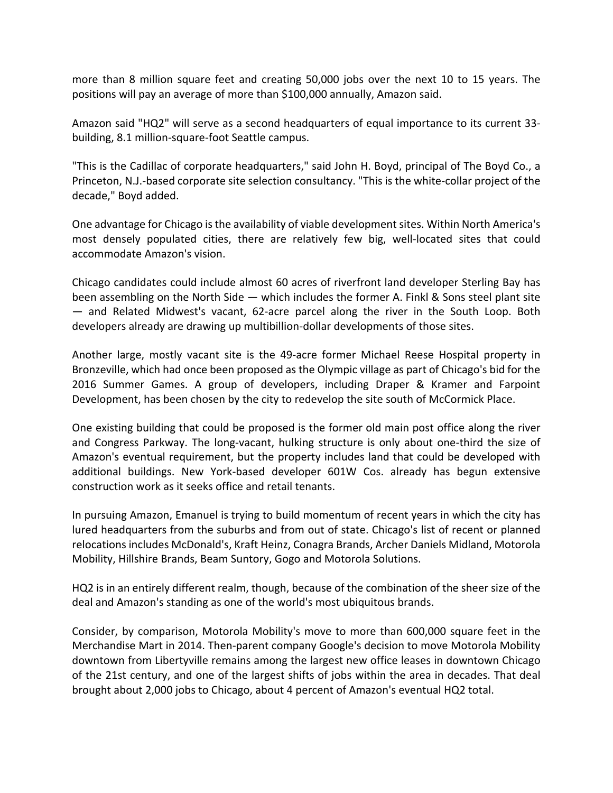more than 8 million square feet and creating 50,000 jobs over the next 10 to 15 years. The positions will pay an average of more than \$100,000 annually, Amazon said.

Amazon said "HQ2" will serve as a second headquarters of equal importance to its current 33‐ building, 8.1 million‐square‐foot Seattle campus.

"This is the Cadillac of corporate headquarters," said John H. Boyd, principal of The Boyd Co., a Princeton, N.J.‐based corporate site selection consultancy. "This is the white‐collar project of the decade," Boyd added.

One advantage for Chicago is the availability of viable development sites. Within North America's most densely populated cities, there are relatively few big, well-located sites that could accommodate Amazon's vision.

Chicago candidates could include almost 60 acres of riverfront land developer Sterling Bay has been assembling on the North Side — which includes the former A. Finkl & Sons steel plant site — and Related Midwest's vacant, 62‐acre parcel along the river in the South Loop. Both developers already are drawing up multibillion‐dollar developments of those sites.

Another large, mostly vacant site is the 49‐acre former Michael Reese Hospital property in Bronzeville, which had once been proposed as the Olympic village as part of Chicago's bid for the 2016 Summer Games. A group of developers, including Draper & Kramer and Farpoint Development, has been chosen by the city to redevelop the site south of McCormick Place.

One existing building that could be proposed is the former old main post office along the river and Congress Parkway. The long-vacant, hulking structure is only about one-third the size of Amazon's eventual requirement, but the property includes land that could be developed with additional buildings. New York‐based developer 601W Cos. already has begun extensive construction work as it seeks office and retail tenants.

In pursuing Amazon, Emanuel is trying to build momentum of recent years in which the city has lured headquarters from the suburbs and from out of state. Chicago's list of recent or planned relocations includes McDonald's, Kraft Heinz, Conagra Brands, Archer Daniels Midland, Motorola Mobility, Hillshire Brands, Beam Suntory, Gogo and Motorola Solutions.

HQ2 is in an entirely different realm, though, because of the combination of the sheer size of the deal and Amazon's standing as one of the world's most ubiquitous brands.

Consider, by comparison, Motorola Mobility's move to more than 600,000 square feet in the Merchandise Mart in 2014. Then‐parent company Google's decision to move Motorola Mobility downtown from Libertyville remains among the largest new office leases in downtown Chicago of the 21st century, and one of the largest shifts of jobs within the area in decades. That deal brought about 2,000 jobs to Chicago, about 4 percent of Amazon's eventual HQ2 total.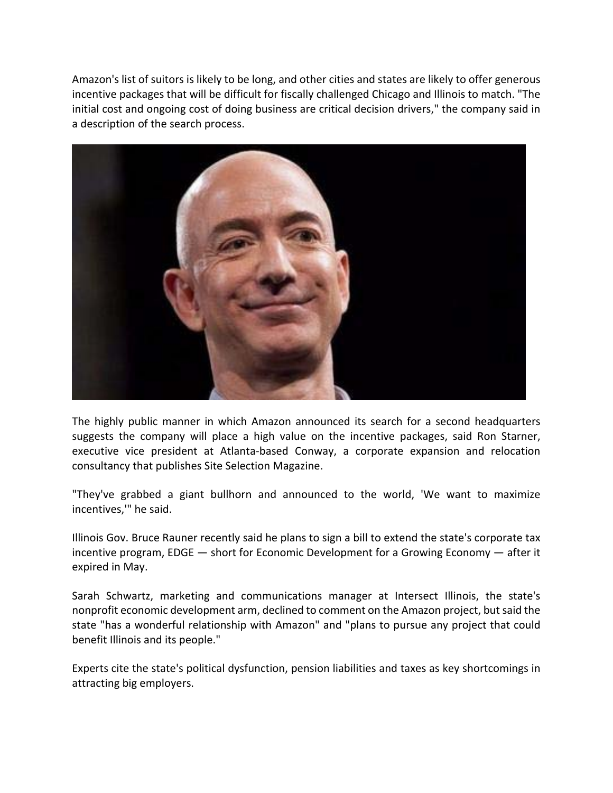Amazon's list of suitors is likely to be long, and other cities and states are likely to offer generous incentive packages that will be difficult for fiscally challenged Chicago and Illinois to match. "The initial cost and ongoing cost of doing business are critical decision drivers," the company said in a description of the search process.



The highly public manner in which Amazon announced its search for a second headquarters suggests the company will place a high value on the incentive packages, said Ron Starner, executive vice president at Atlanta‐based Conway, a corporate expansion and relocation consultancy that publishes Site Selection Magazine.

"They've grabbed a giant bullhorn and announced to the world, 'We want to maximize incentives,'" he said.

Illinois Gov. Bruce Rauner recently said he plans to sign a bill to extend the state's corporate tax incentive program, EDGE — short for Economic Development for a Growing Economy — after it expired in May.

Sarah Schwartz, marketing and communications manager at Intersect Illinois, the state's nonprofit economic development arm, declined to comment on the Amazon project, but said the state "has a wonderful relationship with Amazon" and "plans to pursue any project that could benefit Illinois and its people."

Experts cite the state's political dysfunction, pension liabilities and taxes as key shortcomings in attracting big employers.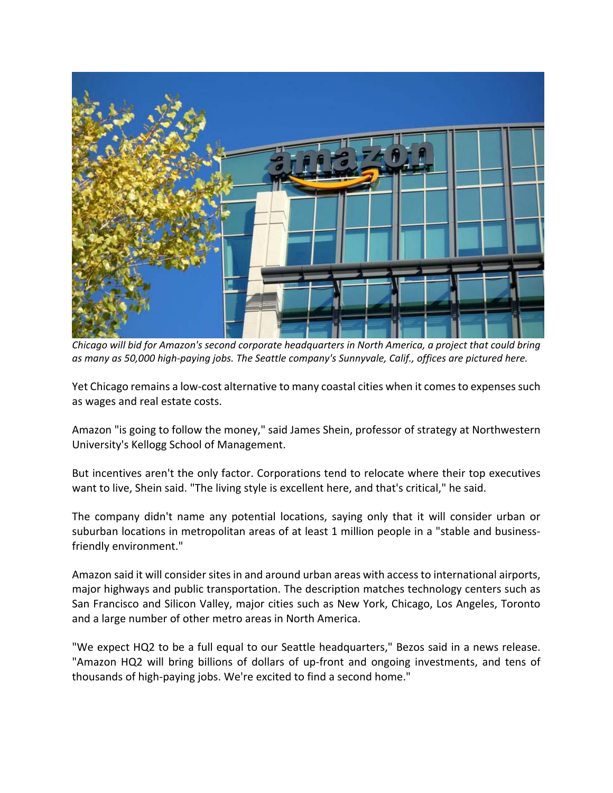

*Chicago will bid for Amazon's second corporate headquarters in North America, a project that could bring as many as 50,000 high‐paying jobs. The Seattle company's Sunnyvale, Calif., offices are pictured here.*

Yet Chicago remains a low-cost alternative to many coastal cities when it comes to expenses such as wages and real estate costs.

Amazon "is going to follow the money," said James Shein, professor of strategy at Northwestern University's Kellogg School of Management.

But incentives aren't the only factor. Corporations tend to relocate where their top executives want to live, Shein said. "The living style is excellent here, and that's critical," he said.

The company didn't name any potential locations, saying only that it will consider urban or suburban locations in metropolitan areas of at least 1 million people in a "stable and businessfriendly environment."

Amazon said it will consider sites in and around urban areas with access to international airports, major highways and public transportation. The description matches technology centers such as San Francisco and Silicon Valley, major cities such as New York, Chicago, Los Angeles, Toronto and a large number of other metro areas in North America.

"We expect HQ2 to be a full equal to our Seattle headquarters," Bezos said in a news release. "Amazon HQ2 will bring billions of dollars of up-front and ongoing investments, and tens of thousands of high‐paying jobs. We're excited to find a second home."